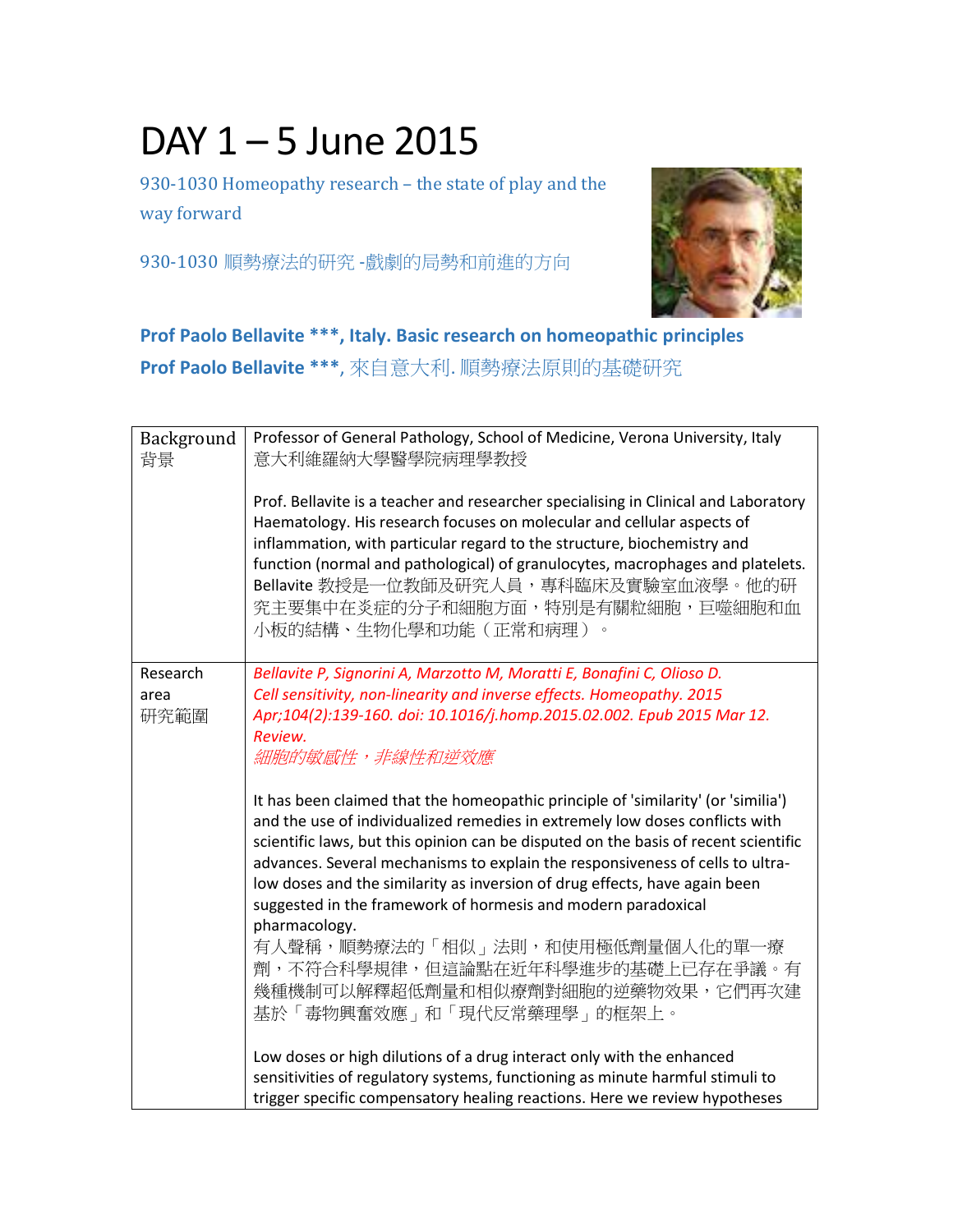## DAY 1 – 5 June 2015

930-1030 Homeopathy research – the state of play and the way forward

930-1030 順勢療法的研究 -戲劇的局勢和前進的方向



## **Prof Paolo Bellavite \*\*\*, Italy. Basic research on homeopathic principles**

**Prof Paolo Bellavite \*\*\***, 來自意大利. 順勢療法原則的基礎研究

| Background<br>背景         | Professor of General Pathology, School of Medicine, Verona University, Italy<br>意大利維羅納大學醫學院病理學教授<br>Prof. Bellavite is a teacher and researcher specialising in Clinical and Laboratory<br>Haematology. His research focuses on molecular and cellular aspects of<br>inflammation, with particular regard to the structure, biochemistry and<br>function (normal and pathological) of granulocytes, macrophages and platelets.<br>Bellavite 教授是一位教師及研究人員,專科臨床及實驗室血液學。他的研<br>究主要集中在炎症的分子和細胞方面,特別是有關粒細胞,巨噬細胞和血<br>小板的結構、生物化學和功能(正常和病理)<br>$\circ$ |
|--------------------------|-------------------------------------------------------------------------------------------------------------------------------------------------------------------------------------------------------------------------------------------------------------------------------------------------------------------------------------------------------------------------------------------------------------------------------------------------------------------------------------------------------------------------------------------------|
| Research<br>area<br>研究範圍 | Bellavite P, Signorini A, Marzotto M, Moratti E, Bonafini C, Olioso D.<br>Cell sensitivity, non-linearity and inverse effects. Homeopathy. 2015<br>Apr;104(2):139-160. doi: 10.1016/j.homp.2015.02.002. Epub 2015 Mar 12.<br>Review.<br>細胞的敏感性,非線性和逆效應<br>It has been claimed that the homeopathic principle of 'similarity' (or 'similia')                                                                                                                                                                                                     |
|                          | and the use of individualized remedies in extremely low doses conflicts with<br>scientific laws, but this opinion can be disputed on the basis of recent scientific<br>advances. Several mechanisms to explain the responsiveness of cells to ultra-<br>low doses and the similarity as inversion of drug effects, have again been<br>suggested in the framework of hormesis and modern paradoxical<br>pharmacology.                                                                                                                            |
|                          | 有人聲稱,順勢療法的「相似」法則,和使用極低劑量個人化的單一療<br>劑,不符合科學規律,但這論點在近年科學進步的基礎上已存在爭議。有<br>幾種機制可以解釋超低劑量和相似療劑對細胞的逆藥物效果,它們再次建<br>基於「毒物興奮效應」和「現代反常藥理學」的框架上。                                                                                                                                                                                                                                                                                                                                                                                                            |
|                          | Low doses or high dilutions of a drug interact only with the enhanced<br>sensitivities of regulatory systems, functioning as minute harmful stimuli to<br>trigger specific compensatory healing reactions. Here we review hypotheses                                                                                                                                                                                                                                                                                                            |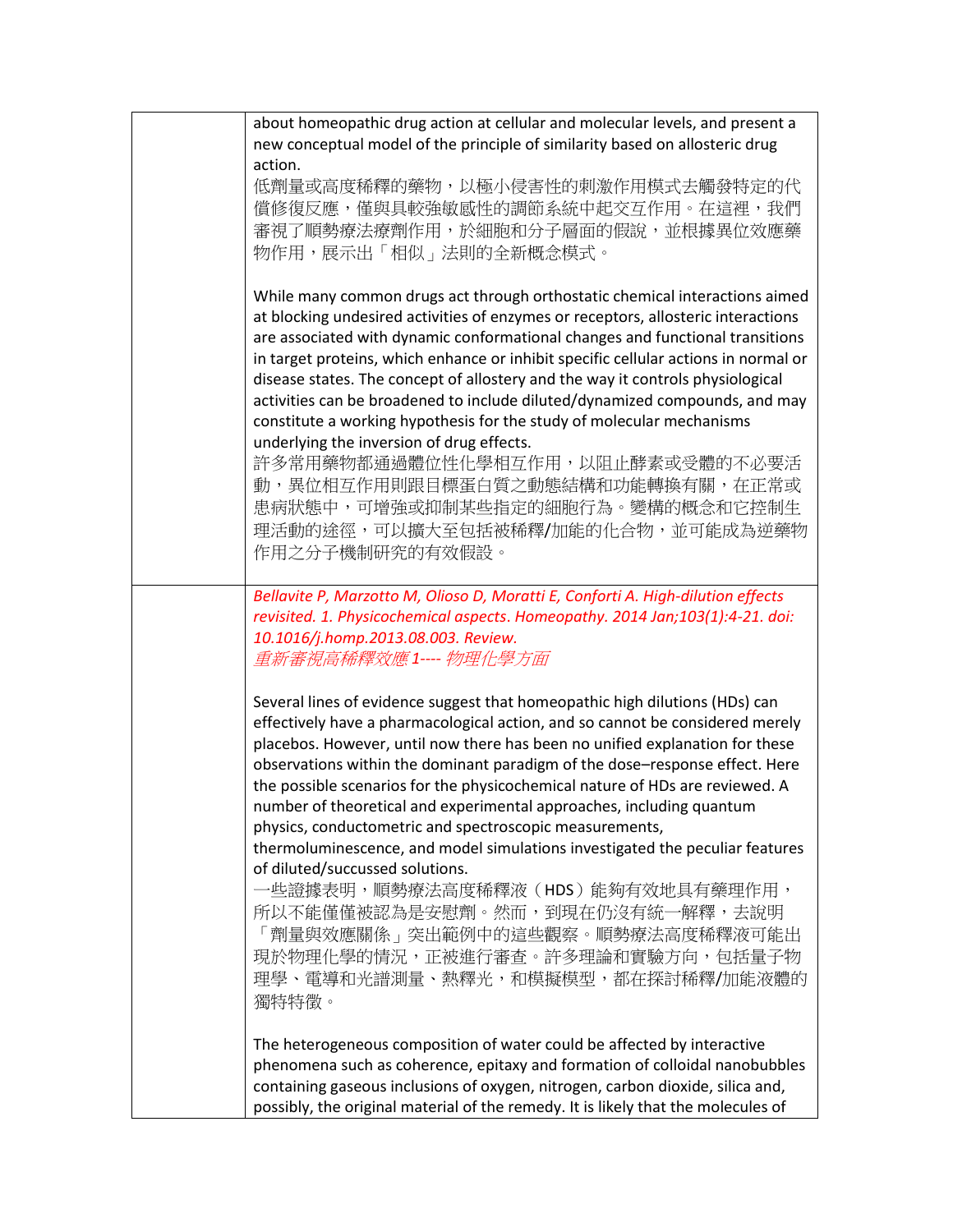| about homeopathic drug action at cellular and molecular levels, and present a<br>new conceptual model of the principle of similarity based on allosteric drug<br>action.                                                                                                                                                                                                                                                                                                                                                                                                                                                                                                                                                                                                                                                                                        |
|-----------------------------------------------------------------------------------------------------------------------------------------------------------------------------------------------------------------------------------------------------------------------------------------------------------------------------------------------------------------------------------------------------------------------------------------------------------------------------------------------------------------------------------------------------------------------------------------------------------------------------------------------------------------------------------------------------------------------------------------------------------------------------------------------------------------------------------------------------------------|
| 低劑量或高度稀釋的藥物,以極小侵害性的刺激作用模式去觸發特定的代<br>償修復反應,僅與具較強敏感性的調節系統中起交互作用。在這裡,我們<br>審視了順勢療法療劑作用,於細胞和分子層面的假說,並根據異位效應藥<br>物作用,展示出「相似」法則的全新概念模式。                                                                                                                                                                                                                                                                                                                                                                                                                                                                                                                                                                                                                                                                                                                               |
| While many common drugs act through orthostatic chemical interactions aimed<br>at blocking undesired activities of enzymes or receptors, allosteric interactions<br>are associated with dynamic conformational changes and functional transitions<br>in target proteins, which enhance or inhibit specific cellular actions in normal or<br>disease states. The concept of allostery and the way it controls physiological<br>activities can be broadened to include diluted/dynamized compounds, and may<br>constitute a working hypothesis for the study of molecular mechanisms<br>underlying the inversion of drug effects.<br>許多常用藥物都通過體位性化學相互作用,以阻止酵素或受體的不必要活<br>動,異位相互作用則跟目標蛋白質之動態結構和功能轉換有關,在正常或<br>患病狀態中,可增強或抑制某些指定的細胞行為。變構的概念和它控制生<br>理活動的途徑,可以擴大至包括被稀釋/加能的化合物,並可能成為逆藥物<br>作用之分子機制研究的有效假設。                                                             |
| Bellavite P, Marzotto M, Olioso D, Moratti E, Conforti A. High-dilution effects<br>revisited. 1. Physicochemical aspects. Homeopathy. 2014 Jan;103(1):4-21. doi:<br>10.1016/j.homp.2013.08.003. Review.<br>重新審視高稀釋效應1---- 物理化學方面                                                                                                                                                                                                                                                                                                                                                                                                                                                                                                                                                                                                                                |
| Several lines of evidence suggest that homeopathic high dilutions (HDs) can<br>effectively have a pharmacological action, and so cannot be considered merely<br>placebos. However, until now there has been no unified explanation for these<br>observations within the dominant paradigm of the dose-response effect. Here<br>the possible scenarios for the physicochemical nature of HDs are reviewed. A<br>number of theoretical and experimental approaches, including quantum<br>physics, conductometric and spectroscopic measurements,<br>thermoluminescence, and model simulations investigated the peculiar features<br>of diluted/succussed solutions.<br>-些證據表明,順勢療法高度稀釋液(HDS)能夠有效地具有藥理作用,<br>所以不能僅僅被認為是安慰劑。然而,到現在仍沒有統一解釋,去說明<br>「劑量與效應關係」突出範例中的這些觀察。順勢療法高度稀釋液可能出<br>現於物理化學的情況,正被進行審查。許多理論和實驗方向,包括量子物<br>理學、電導和光譜測量、熱釋光,和模擬模型,都在探討稀釋/加能液體的<br>獨特特徵。 |
| The heterogeneous composition of water could be affected by interactive<br>phenomena such as coherence, epitaxy and formation of colloidal nanobubbles<br>containing gaseous inclusions of oxygen, nitrogen, carbon dioxide, silica and,<br>possibly, the original material of the remedy. It is likely that the molecules of                                                                                                                                                                                                                                                                                                                                                                                                                                                                                                                                   |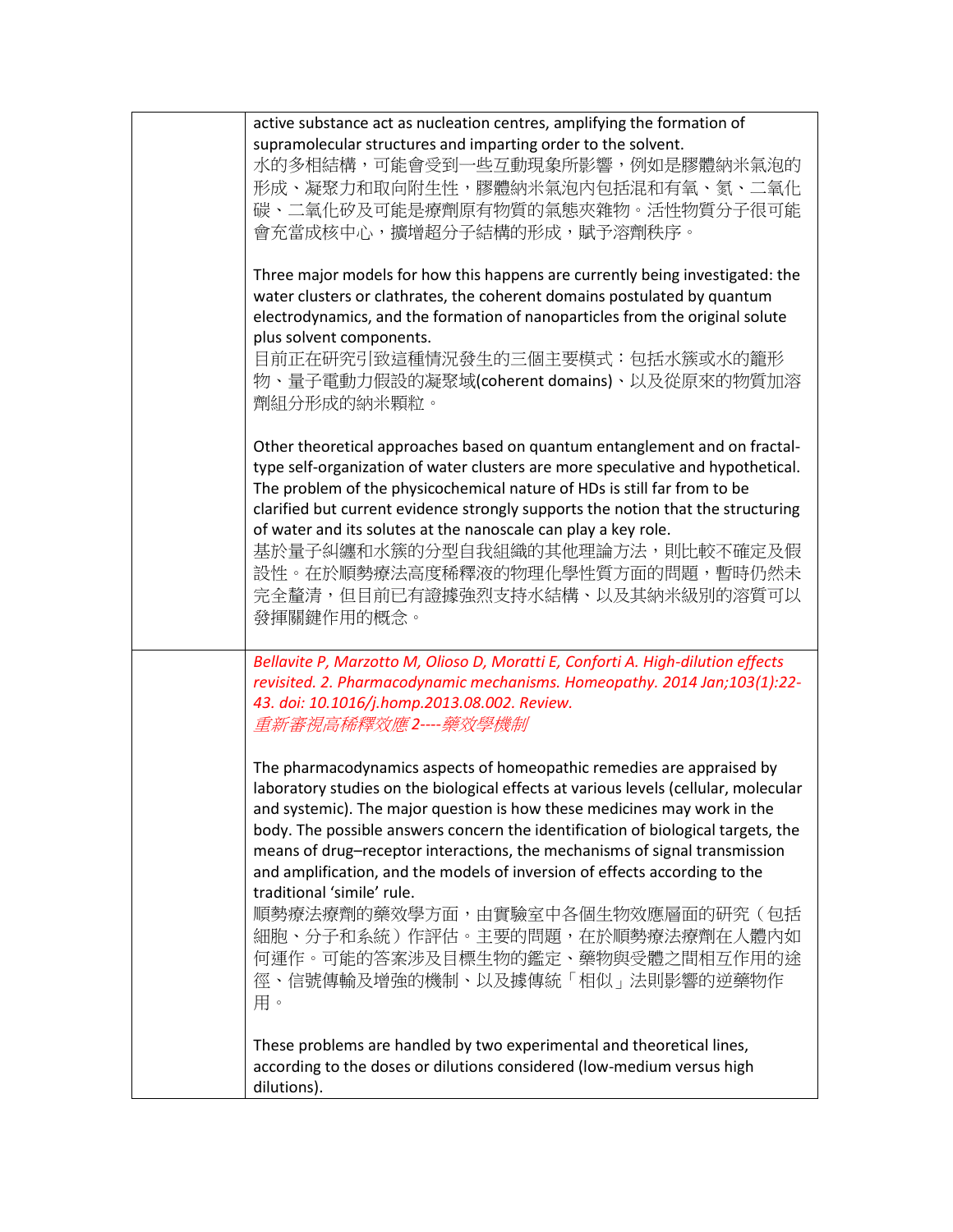|  | active substance act as nucleation centres, amplifying the formation of<br>supramolecular structures and imparting order to the solvent.<br>水的多相結構,可能會受到一些互動現象所影響,例如是膠體納米氣泡的<br>形成、凝聚力和取向附生性,膠體納米氣泡內包括混和有氧、氮、二氧化<br>碳、二氧化矽及可能是療劑原有物質的氣態夾雜物。活性物質分子很可能<br>會充當成核中心,擴增超分子結構的形成,賦予溶劑秩序。                                                                                                                                                                                                                                        |
|--|---------------------------------------------------------------------------------------------------------------------------------------------------------------------------------------------------------------------------------------------------------------------------------------------------------------------------------------------------------------------------------------------------------------------------------------------------------------------------------------------------------------------------|
|  | Three major models for how this happens are currently being investigated: the<br>water clusters or clathrates, the coherent domains postulated by quantum<br>electrodynamics, and the formation of nanoparticles from the original solute<br>plus solvent components.<br>目前正在研究引致這種情況發生的三個主要模式:包括水簇或水的籠形<br>物、量子電動力假設的凝聚域(coherent domains)、以及從原來的物質加溶<br>劑組分形成的納米顆粒。                                                                                                                                                     |
|  | Other theoretical approaches based on quantum entanglement and on fractal-<br>type self-organization of water clusters are more speculative and hypothetical.<br>The problem of the physicochemical nature of HDs is still far from to be<br>clarified but current evidence strongly supports the notion that the structuring<br>of water and its solutes at the nanoscale can play a key role.<br>基於量子糾纏和水簇的分型自我組織的其他理論方法,則比較不確定及假<br>設性。在於順勢療法高度稀釋液的物理化學性質方面的問題,暫時仍然未<br>完全釐清,但目前已有證據強烈支持水結構、以及其納米級別的溶質可以<br>發揮關鍵作用的概念。 |
|  | Bellavite P, Marzotto M, Olioso D, Moratti E, Conforti A. High-dilution effects<br>revisited. 2. Pharmacodynamic mechanisms. Homeopathy. 2014 Jan;103(1):22-<br>43. doi: 10.1016/j.homp.2013.08.002. Review.<br>重新審視高稀釋效應2----藥效學機制                                                                                                                                                                                                                                                                                       |
|  | The pharmacodynamics aspects of homeopathic remedies are appraised by<br>laboratory studies on the biological effects at various levels (cellular, molecular<br>and systemic). The major question is how these medicines may work in the<br>body. The possible answers concern the identification of biological targets, the<br>means of drug-receptor interactions, the mechanisms of signal transmission<br>and amplification, and the models of inversion of effects according to the<br>traditional 'simile' rule.    |
|  | 順勢療法療劑的藥效學方面,由實驗室中各個生物效應層面的研究(包括<br>細胞、分子和系統)作評估。主要的問題,在於順勢療法療劑在人體內如<br>何運作。可能的答案涉及目標生物的鑑定、藥物與受體之間相互作用的途<br>徑、信號傳輸及增強的機制、以及據傳統「相似」法則影響的逆藥物作<br>用。                                                                                                                                                                                                                                                                                                                                                                         |
|  | These problems are handled by two experimental and theoretical lines,<br>according to the doses or dilutions considered (low-medium versus high<br>dilutions).                                                                                                                                                                                                                                                                                                                                                            |